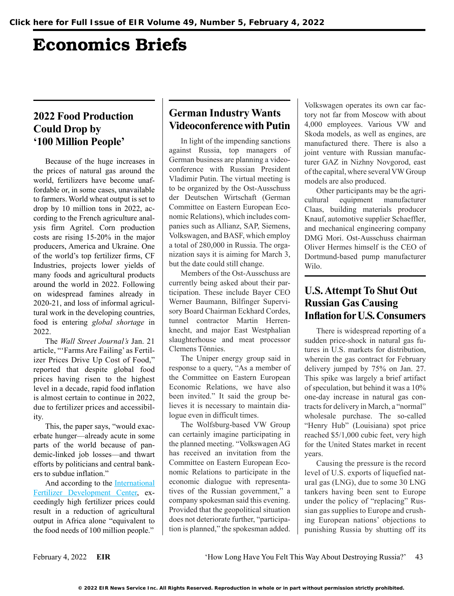# Economics Briefs

### **2022 Food Production Could Drop by '100 Million People'**

Because of the huge increases in the prices of natural gas around the world, fertilizers have become unaffordable or, in some cases, unavailable to farmers. World wheat output is set to drop by 10 million tons in 2022, according to the French agriculture analysis firm Agritel. Corn production costs are rising 15-20% in the major producers, America and Ukraine. One of the world's top fertilizer firms, CF Industries, projects lower yields of many foods and agricultural products around the world in 2022. Following on widespread famines already in 2020-21, and loss of informal agricultural work in the developing countries, food is entering *global shortage* in 2022.

The *Wall Street Journal's* Jan. 21 article, "'Farms Are Failing' as Fertilizer Prices Drive Up Cost of Food," reported that despite global food prices having risen to the highest level in a decade, rapid food inflation is almost certain to continue in 2022, due to fertilizer prices and accessibility.

This, the paper says, "would exacerbate hunger—already acute in some parts of the world because of pandemic-linked job losses—and thwart efforts by politicians and central bankers to subdue inflation."

And according to the [International](https://theconservativetreehouse.com/blog/2022/01/21/united-nations-and-world-bank-predict-increased-global-starvation-due-to-fertilizer-and-farm-costs/) [Fertilizer Development Center,](https://theconservativetreehouse.com/blog/2022/01/21/united-nations-and-world-bank-predict-increased-global-starvation-due-to-fertilizer-and-farm-costs/) exceedingly high fertilizer prices could result in a reduction of agricultural output in Africa alone "equivalent to the food needs of 100 million people."

## **German Industry Wants Videoconference with Putin**

In light of the impending sanctions against Russia, top managers of German business are planning a videoconference with Russian President Vladimir Putin. The virtual meeting is to be organized by the Ost-Ausschuss der Deutschen Wirtschaft (German Committee on Eastern European Economic Relations), which includes companies such as Allianz, SAP, Siemens, Volkswagen, and BASF, which employ a total of 280,000 in Russia. The organization says it is aiming for March 3, but the date could still change.

Members of the Ost-Ausschuss are currently being asked about their participation. These include Bayer CEO Werner Baumann, Bilfinger Supervisory Board Chairman Eckhard Cordes, tunnel contractor Martin Herrenknecht, and major East Westphalian slaughterhouse and meat processor Clemens Tönnies.

The Uniper energy group said in response to a query, "As a member of the Committee on Eastern European Economic Relations, we have also been invited." It said the group believes it is necessary to maintain dialogue even in difficult times.

The Wolfsburg-based VW Group can certainly imagine participating in the planned meeting. "Volkswagen AG has received an invitation from the Committee on Eastern European Economic Relations to participate in the economic dialogue with representatives of the Russian government," a company spokesman said this evening. Provided that the geopolitical situation does not deteriorate further, "participation is planned," the spokesman added.

Volkswagen operates its own car factory not far from Moscow with about 4,000 employees. Various VW and Skoda models, as well as engines, are manufactured there. There is also a joint venture with Russian manufacturer GAZ in Nizhny Novgorod, east of the capital, where several VW Group models are also produced.

Other participants may be the agricultural equipment manufacturer Claas, building materials producer Knauf, automotive supplier Schaeffler, and mechanical engineering company DMG Mori. Ost-Ausschuss chairman Oliver Hermes himself is the CEO of Dortmund-based pump manufacturer Wilo.

## **U.S. Attempt To Shut Out Russian Gas Causing Inflation for U.S. Consumers**

There is widespread reporting of a sudden price-shock in natural gas futures in U.S. markets for distribution, wherein the gas contract for February delivery jumped by 75% on Jan. 27. This spike was largely a brief artifact of speculation, but behind it was a 10% one-day increase in natural gas contracts for delivery in March, a "normal" wholesale purchase. The so-called "Henry Hub" (Louisiana) spot price reached \$5/1,000 cubic feet, very high for the United States market in recent years.

Causing the pressure is the record level of U.S. exports of liquefied natural gas (LNG), due to some 30 LNG tankers having been sent to Europe under the policy of "replacing" Russian gas supplies to Europe and crushing European nations' objections to punishing Russia by shutting off its

February 4, 2022 **EIR** 'How Long Have You Felt This Way About Destroying Russia?' 43